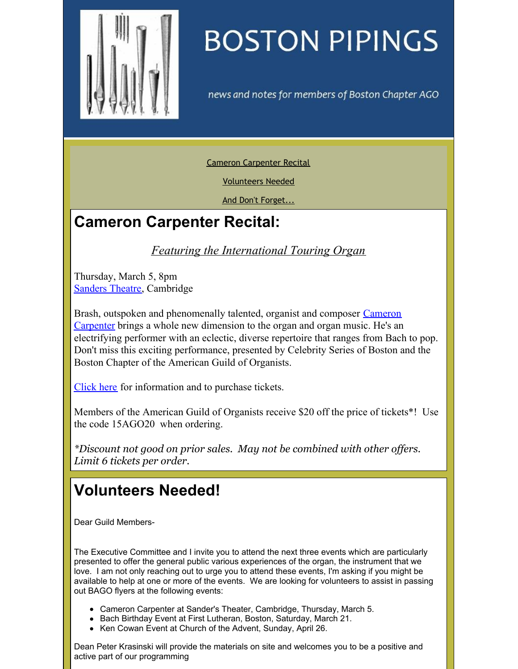<span id="page-0-0"></span>

## **BOSTON PIPINGS**

news and notes for members of Boston Chapter AGO

Cameron [Carpenter](#page-0-0) Recital

[Volunteers](#page-0-0) Needed

And Don't [Forget...](#page-0-0)

## **Cameron Carpenter Recital:**

*Featuring the International Touring Organ*

Thursday, March 5, 8pm [Sanders](https://www.fas.harvard.edu/~memhall/sanders.html) Theatre, Cambridge

Brash, outspoken and [phenomenally](http://www.cameroncarpenter.com) talented, organist and composer Cameron Carpenter brings a whole new dimension to the organ and organ music. He's an electrifying performer with an eclectic, diverse repertoire that ranges from Bach to pop. Don't miss this exciting performance, presented by Celebrity Series of Boston and the Boston Chapter of the American Guild of Organists.

[Click](http://celebrityseries.org/carpenter/index.htm) here for information and to purchase tickets.

Members of the American Guild of Organists receive \$20 off the price of tickets\*! Use the code 15AGO20 when ordering.

*\*Discount not good on prior sales. May not be combined with other of ers. Limit 6 tickets per order.*

## **Volunteers Needed!**

Dear Guild Members-

The Executive Committee and I invite you to attend the next three events which are particularly presented to offer the general public various experiences of the organ, the instrument that we love. I am not only reaching out to urge you to attend these events, I'm asking if you might be available to help at one or more of the events. We are looking for volunteers to assist in passing out BAGO flyers at the following events:

- Cameron Carpenter at Sander's Theater, Cambridge, Thursday, March 5.
- Bach Birthday Event at First Lutheran, Boston, Saturday, March 21.
- Ken Cowan Event at Church of the Advent, Sunday, April 26.

Dean Peter Krasinski will provide the materials on site and welcomes you to be a positive and active part of our programming